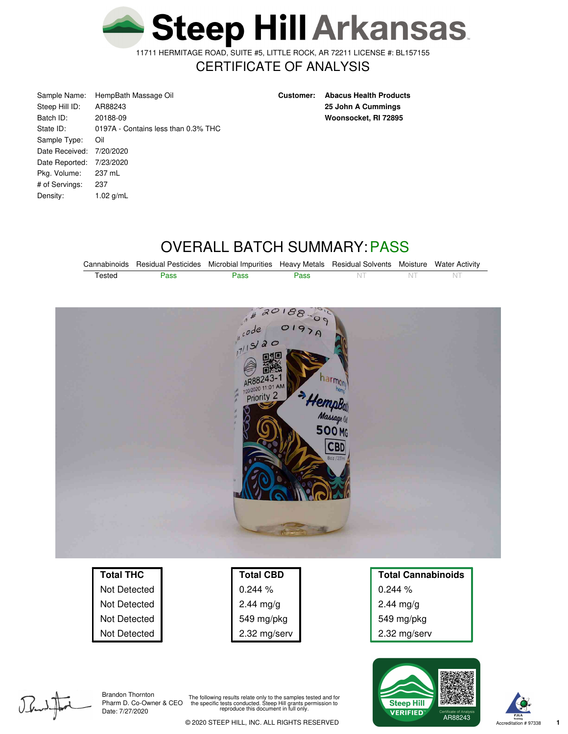

11711 HERMITAGE ROAD, SUITE #5, LITTLE ROCK, AR 72211 LICENSE #: BL157155

## CERTIFICATE OF ANALYSIS

| Sample Name:   | HempBath Massage Oil                |
|----------------|-------------------------------------|
| Steep Hill ID: | AR88243                             |
| Batch ID:      | 20188-09                            |
| State ID:      | 0197A - Contains less than 0.3% THC |
| Sample Type:   | Oil                                 |
| Date Received: | 7/20/2020                           |
| Date Reported: | 7/23/2020                           |
| Pkg. Volume:   | 237 mL                              |
| # of Servings: | 237                                 |
| Density:       | 1.02 $q/mL$                         |
|                |                                     |

**Customer: Abacus Health Products 25 John A Cummings Woonsocket, RI 72895**

# OVERALL BATCH SUMMARY:PASS

|        |      | Cannabinoids Residual Pesticides Microbial Impurities Heavy Metals Residual Solvents Moisture Water Activity |                 |               |               |    |
|--------|------|--------------------------------------------------------------------------------------------------------------|-----------------|---------------|---------------|----|
| Tested | Pass | Pass                                                                                                         | Pass            | $\mathsf{NT}$ | $\mathsf{NT}$ | NT |
|        |      | 201                                                                                                          | 88              |               |               |    |
|        |      | code                                                                                                         | $\mathcal{O}$ l |               |               |    |
|        |      | 17/15/20                                                                                                     |                 |               |               |    |
|        |      |                                                                                                              |                 |               |               |    |
|        |      | AR88243-<br>7/20/2020 11:01 AM                                                                               |                 | harmony       |               |    |
|        |      | のなの<br>Priority 2                                                                                            |                 |               |               |    |
|        |      |                                                                                                              | Hemplat         |               |               |    |
|        |      |                                                                                                              |                 | <b>CBD</b>    |               |    |
|        |      |                                                                                                              |                 | 8oz /237ml    |               |    |
|        |      |                                                                                                              |                 |               |               |    |
|        |      |                                                                                                              |                 |               |               |    |
|        |      |                                                                                                              |                 |               |               |    |
|        |      |                                                                                                              |                 |               |               |    |
|        |      |                                                                                                              |                 |               |               |    |

| <b>Total THC</b> | <b>Total CBD</b> | <b>Total Cannabinoids</b> |
|------------------|------------------|---------------------------|
| Not Detected     | 0.244%           | 0.244%                    |
| Not Detected     | $2.44$ mg/g      | 2.44 mg/g                 |
| Not Detected     | 549 mg/pkg       | 549 mg/pkg                |
| Not Detected     | 2.32 mg/serv     | 2.32 mg/serv              |



Brandon Thornton Date: 7/27/2020

Prefollowing results relate only to the samples tested and for<br>Pharm D. Co-Owner & CEO the specific tests conducted. Steep Hill grants permission to<br>Date: 7/97/2020



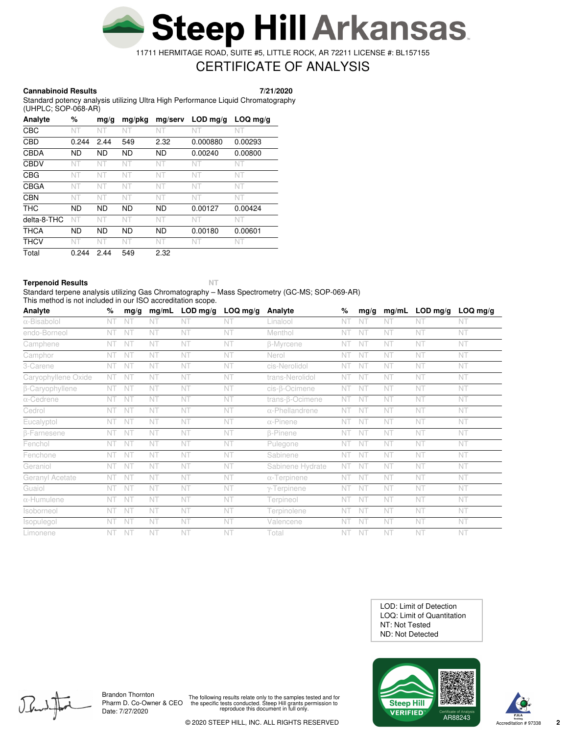Steep Hill Arkansas

11711 HERMITAGE ROAD, SUITE #5, LITTLE ROCK, AR 72211 LICENSE #: BL157155

## CERTIFICATE OF ANALYSIS

### **Cannabinoid Results 7/21/2020**

Standard potency analysis utilizing Ultra High Performance Liquid Chromatography (UHPLC; SOP-068-AR)

| Analyte     | ℅         | mg/g      | mg/pkg    | mg/serv   | $LOD$ mg/g | $LOQ$ mg/g |
|-------------|-----------|-----------|-----------|-----------|------------|------------|
| <b>CBC</b>  |           | NF        | NT        | NT        | NT         | NT         |
| <b>CBD</b>  | 0.244     | 2.44      | 549       | 2.32      | 0.000880   | 0.00293    |
| <b>CBDA</b> | <b>ND</b> | <b>ND</b> | <b>ND</b> | <b>ND</b> | 0.00240    | 0.00800    |
| CBDV        | NT        | NT        | NT        | NT        | NT         | NT         |
| <b>CBG</b>  | NT        | NT        | NT        | NT        | NT         | NT         |
| CBGA        | NT        | NT        | NT        | NT        | NT         | NT         |
| <b>CBN</b>  | NT        | NT        | NT        | NT        | NT         | NT         |
| <b>THC</b>  | <b>ND</b> | <b>ND</b> | <b>ND</b> | <b>ND</b> | 0.00127    | 0.00424    |
| delta-8-THC | NT        | NT        | NT        | NT        | NT         | NT         |
| <b>THCA</b> | <b>ND</b> | <b>ND</b> | <b>ND</b> | <b>ND</b> | 0.00180    | 0.00601    |
| <b>THCV</b> | NT        | NT        | NT        | NT        | NT         | NT         |
| Total       | 0.244     | 2.44      | 549       | 2.32      |            |            |

#### **Terpenoid Results NT**

Standard terpene analysis utilizing Gas Chromatography – Mass Spectrometry (GC-MS; SOP-069-AR) This method is not included in our ISO accreditation scope.

| Analyte                | %              | mq/q      | mg/mL | LOD mg/g | $LOQ$ mg/g | Analyte                | %         | mg/g           | mg/mL | $LOD$ mg/g | $LOQ$ mg/g |
|------------------------|----------------|-----------|-------|----------|------------|------------------------|-----------|----------------|-------|------------|------------|
| $\alpha$ -Bisabolol    | NT             | N1        | NT    | NT       | NT.        | Linalool               | NT        | N.             | NT    | NT         | <b>NT</b>  |
| endo-Borneol           | NT             | NT        | NT    | NT       | NT         | Menthol                | NT        | NT             | NT    | NT         | NT         |
| Camphene               | NT             | NT        | NT    | NT       | NT         | <b>B-Myrcene</b>       | NT        | NT             | NT    | NT         | NT         |
| Camphor                | NT             | NT        | NT    | NT       | NT         | Nerol                  | NT        | <b>NT</b>      | NT    | NT         | NT         |
| 3-Carene               | NT             | NT        | NT    | NT       | NT         | cis-Nerolidol          | NT        | NT             | NT    | NT         | NT         |
| Caryophyllene Oxide    | NT             | <b>NT</b> | NT    | NT       | NT         | trans-Nerolidol        | NT        | N1             | NT    | NT         | NT         |
| <b>B-Caryophyllene</b> | NT             | NT        | NT    | NT       | NT         | cis-β-Ocimene          | NT        | N <sub>1</sub> | NT    | NT         | NT         |
| $\alpha$ -Cedrene      | NT             | <b>NT</b> | NT    | NT       | NT         | trans-ß-Ocimene        | NT        | N <sub>1</sub> | NT    | NT         | NT         |
| Cedrol                 | NT             | NT        | NT    | NT       | NT         | $\alpha$ -Phellandrene | NT        | NT             | NT    | NT         | NT         |
| Eucalyptol             | NT             | <b>NT</b> | NT    | NT       | NT         | $\alpha$ -Pinene       | <b>NT</b> | N1             | NT    | NT         | NT         |
| <b>B-Farnesene</b>     | NT             | NT        | NT    | NT       | NT         | <b>B-Pinene</b>        | NT        | NT             | NT    | NT         | NT         |
| Fenchol                | NT             | NT        | NT    | NT       | NT         | Pulegone               | NT        | NT             | NT    | NT         | NT         |
| Fenchone               | NT             | NT        | NT    | NT       | NT         | Sabinene               | NT        | <b>NT</b>      | NT    | NT         | NT         |
| Geraniol               | NT             | NT        | NT    | NT       | NT         | Sabinene Hydrate       | NT        | NT             | NT    | NT         | NT         |
| Geranyl Acetate        | <b>NT</b>      | <b>NT</b> | NT    | NT       | NT         | $\alpha$ -Terpinene    | NT        | NT             | NT    | NT         | NT         |
| Guaiol                 | N <sub>1</sub> | NT        | NT    | NT       | NT         | $\gamma$ -Terpinene    | NT        | N <sub>1</sub> | NT    | NT         | NT         |
| α-Humulene             | NT             | <b>NT</b> | NT    | NT       | NT         | Terpineol              | NT        | N <sub>1</sub> | NT    | NT         | NT         |
| Isoborneol             | NT             | NT        | NT    | NT       | NT         | Terpinolene            | NT        | NT             | NT    | NT         | NT         |
| Isopulegol             | NT             | <b>NT</b> | NT    | NT       | NT         | Valencene              | NT        | N1             | NT    | NT         | NT         |
| Limonene               | NT             | <b>NT</b> | NT    | NT       | NT         | Total                  | NT        | NT             | NT    | NT         | NT         |

ND: Not Detected NT: Not Tested LOQ: Limit of Quantitation LOD: Limit of Detection





Brandon Thornton Date: 7/27/2020

Prefollowing results relate only to the samples tested and for<br>Pharm D. Co-Owner & CEO the specific tests conducted. Steep Hill grants permission to<br>Date: 7/97/2020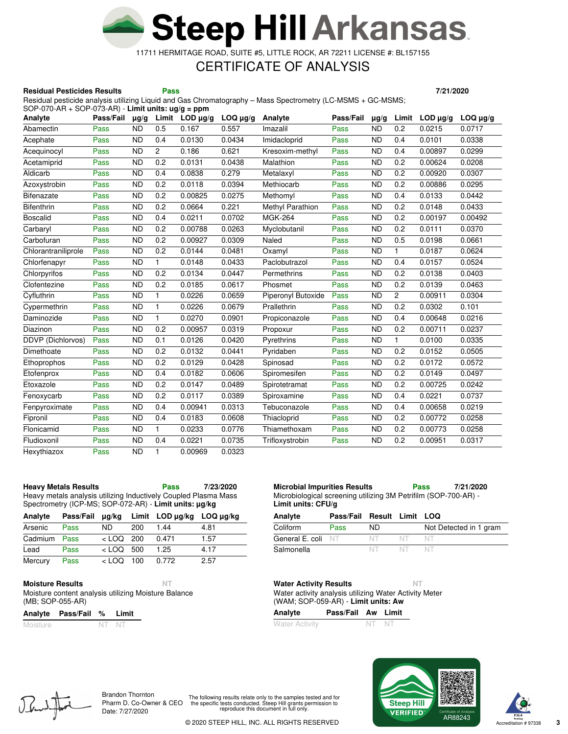

11711 HERMITAGE ROAD, SUITE #5, LITTLE ROCK, AR 72211 LICENSE #: BL157155

### CERTIFICATE OF ANALYSIS

### **Residual Pesticides Results Pass 7/21/2020**

Residual pesticide analysis utilizing Liquid and Gas Chromatography – Mass Spectrometry (LC-MSMS + GC-MSMS;

| $SOP-070-AR + SOP-073-AR$ - Limit units: $ug/g = ppm$ |           |           |                |                |               |                    |           |           |              |               |               |
|-------------------------------------------------------|-----------|-----------|----------------|----------------|---------------|--------------------|-----------|-----------|--------------|---------------|---------------|
| Analyte                                               | Pass/Fail | $\mu$ g/g |                | Limit LOD µg/g | LOQ $\mu$ g/g | Analyte            | Pass/Fail | $\mu$ g/g | Limit        | LOD $\mu$ g/g | $LOQ \mu g/g$ |
| Abamectin                                             | Pass      | <b>ND</b> | 0.5            | 0.167          | 0.557         | Imazalil           | Pass      | <b>ND</b> | 0.2          | 0.0215        | 0.0717        |
| Acephate                                              | Pass      | <b>ND</b> | 0.4            | 0.0130         | 0.0434        | Imidacloprid       | Pass      | <b>ND</b> | 0.4          | 0.0101        | 0.0338        |
| Acequinocyl                                           | Pass      | <b>ND</b> | $\overline{c}$ | 0.186          | 0.621         | Kresoxim-methyl    | Pass      | <b>ND</b> | 0.4          | 0.00897       | 0.0299        |
| Acetamiprid                                           | Pass      | <b>ND</b> | 0.2            | 0.0131         | 0.0438        | Malathion          | Pass      | <b>ND</b> | 0.2          | 0.00624       | 0.0208        |
| Aldicarb                                              | Pass      | <b>ND</b> | 0.4            | 0.0838         | 0.279         | Metalaxyl          | Pass      | <b>ND</b> | 0.2          | 0.00920       | 0.0307        |
| Azoxystrobin                                          | Pass      | <b>ND</b> | 0.2            | 0.0118         | 0.0394        | Methiocarb         | Pass      | <b>ND</b> | 0.2          | 0.00886       | 0.0295        |
| Bifenazate                                            | Pass      | <b>ND</b> | 0.2            | 0.00825        | 0.0275        | Methomyl           | Pass      | <b>ND</b> | 0.4          | 0.0133        | 0.0442        |
| Bifenthrin                                            | Pass      | <b>ND</b> | 0.2            | 0.0664         | 0.221         | Methyl Parathion   | Pass      | <b>ND</b> | 0.2          | 0.0148        | 0.0433        |
| <b>Boscalid</b>                                       | Pass      | <b>ND</b> | 0.4            | 0.0211         | 0.0702        | <b>MGK-264</b>     | Pass      | <b>ND</b> | 0.2          | 0.00197       | 0.00492       |
| Carbaryl                                              | Pass      | <b>ND</b> | 0.2            | 0.00788        | 0.0263        | Myclobutanil       | Pass      | <b>ND</b> | 0.2          | 0.0111        | 0.0370        |
| Carbofuran                                            | Pass      | <b>ND</b> | 0.2            | 0.00927        | 0.0309        | Naled              | Pass      | <b>ND</b> | 0.5          | 0.0198        | 0.0661        |
| Chlorantraniliprole                                   | Pass      | <b>ND</b> | 0.2            | 0.0144         | 0.0481        | Oxamyl             | Pass      | <b>ND</b> | $\mathbf{1}$ | 0.0187        | 0.0624        |
| Chlorfenapyr                                          | Pass      | <b>ND</b> | $\mathbf{1}$   | 0.0148         | 0.0433        | Paclobutrazol      | Pass      | <b>ND</b> | 0.4          | 0.0157        | 0.0524        |
| Chlorpyrifos                                          | Pass      | <b>ND</b> | 0.2            | 0.0134         | 0.0447        | Permethrins        | Pass      | <b>ND</b> | 0.2          | 0.0138        | 0.0403        |
| Clofentezine                                          | Pass      | <b>ND</b> | 0.2            | 0.0185         | 0.0617        | Phosmet            | Pass      | <b>ND</b> | 0.2          | 0.0139        | 0.0463        |
| Cyfluthrin                                            | Pass      | <b>ND</b> | $\mathbf{1}$   | 0.0226         | 0.0659        | Piperonyl Butoxide | Pass      | <b>ND</b> | $\mathbf{2}$ | 0.00911       | 0.0304        |
| Cypermethrin                                          | Pass      | <b>ND</b> | $\mathbf{1}$   | 0.0226         | 0.0679        | Prallethrin        | Pass      | <b>ND</b> | 0.2          | 0.0302        | 0.101         |
| Daminozide                                            | Pass      | <b>ND</b> | 1              | 0.0270         | 0.0901        | Propiconazole      | Pass      | <b>ND</b> | 0.4          | 0.00648       | 0.0216        |
| Diazinon                                              | Pass      | <b>ND</b> | 0.2            | 0.00957        | 0.0319        | Propoxur           | Pass      | <b>ND</b> | 0.2          | 0.00711       | 0.0237        |
| DDVP (Dichlorvos)                                     | Pass      | <b>ND</b> | 0.1            | 0.0126         | 0.0420        | Pyrethrins         | Pass      | <b>ND</b> | 1            | 0.0100        | 0.0335        |
| Dimethoate                                            | Pass      | <b>ND</b> | 0.2            | 0.0132         | 0.0441        | Pyridaben          | Pass      | <b>ND</b> | 0.2          | 0.0152        | 0.0505        |
| Ethoprophos                                           | Pass      | <b>ND</b> | 0.2            | 0.0129         | 0.0428        | Spinosad           | Pass      | <b>ND</b> | 0.2          | 0.0172        | 0.0572        |
| Etofenprox                                            | Pass      | <b>ND</b> | 0.4            | 0.0182         | 0.0606        | Spiromesifen       | Pass      | <b>ND</b> | 0.2          | 0.0149        | 0.0497        |
| Etoxazole                                             | Pass      | <b>ND</b> | 0.2            | 0.0147         | 0.0489        | Spirotetramat      | Pass      | <b>ND</b> | 0.2          | 0.00725       | 0.0242        |
| Fenoxycarb                                            | Pass      | <b>ND</b> | 0.2            | 0.0117         | 0.0389        | Spiroxamine        | Pass      | <b>ND</b> | 0.4          | 0.0221        | 0.0737        |
| Fenpyroximate                                         | Pass      | <b>ND</b> | 0.4            | 0.00941        | 0.0313        | Tebuconazole       | Pass      | <b>ND</b> | 0.4          | 0.00658       | 0.0219        |
| Fipronil                                              | Pass      | <b>ND</b> | 0.4            | 0.0183         | 0.0608        | Thiacloprid        | Pass      | <b>ND</b> | 0.2          | 0.00772       | 0.0258        |
| Flonicamid                                            | Pass      | <b>ND</b> | 1              | 0.0233         | 0.0776        | Thiamethoxam       | Pass      | <b>ND</b> | 0.2          | 0.00773       | 0.0258        |
| Fludioxonil                                           | Pass      | <b>ND</b> | 0.4            | 0.0221         | 0.0735        | Trifloxystrobin    | Pass      | <b>ND</b> | 0.2          | 0.00951       | 0.0317        |
| Hexythiazox                                           | Pass      | <b>ND</b> | 1              | 0.00969        | 0.0323        |                    |           |           |              |               |               |

**Heavy Metals Results Pass 7/23/2020** Heavy metals analysis utilizing Inductively Coupled Plasma Mass Spectrometry (ICP-MS; SOP-072-AR) - **Limit units: µg/kg**

| Analyte | Pass/Fail ug/kg |             |     | Limit LOD ug/kg LOQ ug/kg |      |
|---------|-----------------|-------------|-----|---------------------------|------|
| Arsenic | Pass            | ND.         | 200 | 1.44                      | 4.81 |
| Cadmium | Pass            | $<$ LOQ 200 |     | 0.471                     | 1.57 |
| Lead    | Pass            | $<$ LOQ 500 |     | 1.25                      | 4.17 |
| Mercury | Pass            | < LOQ       | 100 | 0.772                     | 2.57 |

#### **Moisture Results NT**

Moisture content analysis utilizing Moisture Balance (MB; SOP-055-AR)

#### **Analyte Pass/Fail % Limit**

| Moisture | NT NT |  |
|----------|-------|--|
|----------|-------|--|

**Microbial Impurities Results Pass 7/21/2020** Microbiological screening utilizing 3M Petrifilm (SOP-700-AR) - **Limit units: CFU/g**

| Analyte              | Pass/Fail   | <b>Result Limit LOQ</b> |        |                        |
|----------------------|-------------|-------------------------|--------|------------------------|
| Coliform             | <b>Pass</b> | ND.                     |        | Not Detected in 1 gram |
| General E. coli $NT$ |             | - NT -                  | - NT - | <b>INT</b>             |
| Salmonella           |             | NT -                    | NT NT  |                        |

**Water Activity Results NT** Water activity analysis utilizing Water Activity Meter (WAM; SOP-059-AR) - **Limit units: Aw**

| Analyte               | Pass/Fail Aw Limit |       |  |
|-----------------------|--------------------|-------|--|
| <b>Water Activity</b> |                    | NT NT |  |



Brandon Thornton Pharm D. Co-Owner & CEO Date: 7/27/2020

The following results relate only to the samples tested and for the specific tests conducted. Steep Hill grants permission to reproduce this document in full only.